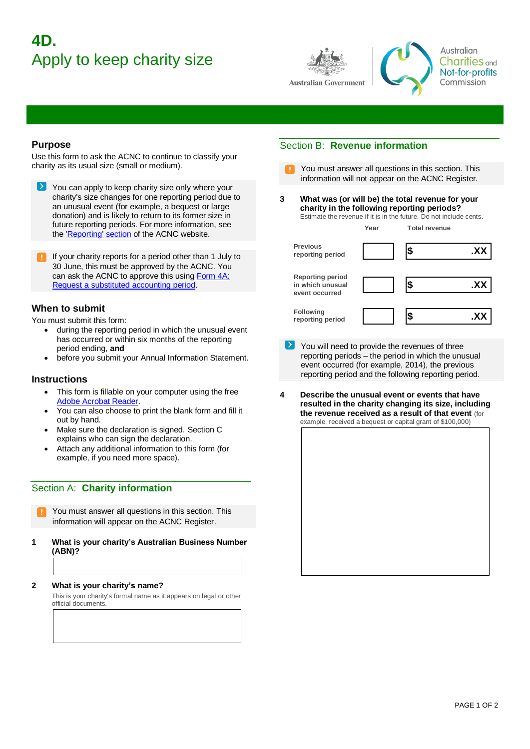# **4D.**  Apply to keep charity size





Australian **Charities** and Not-for-profits Commission

### **Purpose**

Use this form to ask the ACNC to continue to classify your charity as its usual size (small or medium).

- | > | You can apply to keep charity size only where your charity's size changes for one reporting period due to an unusual event (for example, a bequest or large donation) and is likely to return to its former size in future reporting periods. For more information, see the ['Reporting' section](https://www.acnc.gov.au/for-charities/manage-your-charity/financial-and-other-reporting) of the ACNC website.
- If your charity reports for a period other than 1 July to 30 June, this must be approved by the ACNC. You can ask the ACNC to approve this using Form 4A: [Request a substituted accounting period.](https://www.acnc.gov.au/for-charities/manage-your-charity/acnc-forms)

## **When to submit**

You must submit this form:

- during the reporting period in which the unusual event has occurred or within six months of the reporting period ending, **and**
- before you submit your Annual Information Statement.

### **Instructions**

- This form is fillable on your computer using the free [Adobe Acrobat Reader.](http://www.adobe.com/au/products/reader.html)
- You can also choose to print the blank form and fill it out by hand.
- Make sure the declaration is signed. Section C explains who can sign the declaration.
- Attach any additional information to this form (for example, if you need more space).

# Section A: **Charity information**

- You must answer all questions in this section. This information will appear on the ACNC Register.
- **1 What is your charity's Australian Business Number (ABN)?**

### **2 What is your charity's name?**

This is your charity's formal name as it appears on legal or other official documents.

# Section B: **Revenue information**

- You must answer all questions in this section. This information will not appear on the ACNC Register.
- **3 What was (or will be) the total revenue for your charity in the following reporting periods?**

| Estimate the revenue if it is in the future. Do not include cents. |      |  |                      |  |
|--------------------------------------------------------------------|------|--|----------------------|--|
|                                                                    | Year |  | <b>Total revenue</b> |  |

| <b>Previous</b><br>reporting period                           | S | .X) |
|---------------------------------------------------------------|---|-----|
| <b>Reporting period</b><br>in which unusual<br>event occurred |   | .X) |
| <b>Following</b><br>reporting period                          | S |     |

- You will need to provide the revenues of three reporting periods – the period in which the unusual event occurred (for example, 2014), the previous reporting period and the following reporting period.
- **4 Describe the unusual event or events that have resulted in the charity changing its size, including the revenue received as a result of that event** (for example, received a bequest or capital grant of \$100,000)